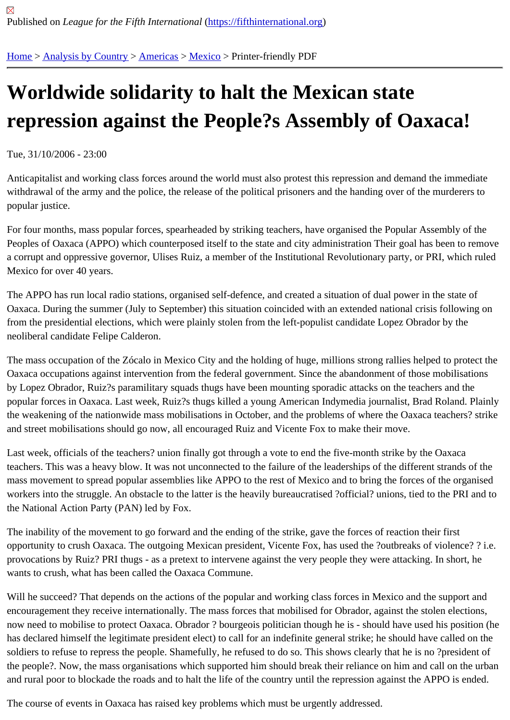## [Wo](https://fifthinternational.org/)[rldwide so](https://fifthinternational.org/category/1)l[idarit](https://fifthinternational.org/category/1/56)[y to h](https://fifthinternational.org/category/1/56/78)alt the Mexican state repression against the People?s Assembly of Oaxaca!

Tue, 31/10/2006 - 23:00

Anticapitalist and working class forces around the world must also protest this repression and demand the immedi withdrawal of the army and the police, the release of the political prisoners and the handing over of the murderers popular justice.

For four months, mass popular forces, spearheaded by striking teachers, have organised the Popular Assembly of Peoples of Oaxaca (APPO) which counterposed itself to the state and city administration Their goal has been to re a corrupt and oppressive governor, Ulises Ruiz, a member of the Institutional Revolutionary party, or PRI, which ru Mexico for over 40 years.

The APPO has run local radio stations, organised self-defence, and created a situation of dual power in the state o Oaxaca. During the summer (July to September) this situation coincided with an extended national crisis following on from the presidential elections, which were plainly stolen from the left-populist candidate Lopez Obrador by the neoliberal candidate Felipe Calderon.

The mass occupation of the Zócalo in Mexico City and the holding of huge, millions strong rallies helped to protect Oaxaca occupations against intervention from the federal government. Since the abandonment of those mobilisati by Lopez Obrador, Ruiz?s paramilitary squads thugs have been mounting sporadic attacks on the teachers and th popular forces in Oaxaca. Last week, Ruiz?s thugs killed a young American Indymedia journalist, Brad Roland. Pla the weakening of the nationwide mass mobilisations in October, and the problems of where the Oaxaca teachers? and street mobilisations should go now, all encouraged Ruiz and Vicente Fox to make their move.

Last week, officials of the teachers? union finally got through a vote to end the five-month strike by the Oaxaca teachers. This was a heavy blow. It was not unconnected to the failure of the leaderships of the different strands o mass movement to spread popular assemblies like APPO to the rest of Mexico and to bring the forces of the organ workers into the struggle. An obstacle to the latter is the heavily bureaucratised ?official? unions, tied to the PRI ar the National Action Party (PAN) led by Fox.

The inability of the movement to go forward and the ending of the strike, gave the forces of reaction their first opportunity to crush Oaxaca. The outgoing Mexican president, Vicente Fox, has used the ?outbreaks of violence? provocations by Ruiz? PRI thugs - as a pretext to intervene against the very people they were attacking. In short, h wants to crush, what has been called the Oaxaca Commune.

Will he succeed? That depends on the actions of the popular and working class forces in Mexico and the support a encouragement they receive internationally. The mass forces that mobilised for Obrador, against the stolen electic now need to mobilise to protect Oaxaca. Obrador ? bourgeois politician though he is - should have used his positio has declared himself the legitimate president elect) to call for an indefinite general strike; he should have called on soldiers to refuse to repress the people. Shamefully, he refused to do so. This shows clearly that he is no ?preside the people?. Now, the mass organisations which supported him should break their reliance on him and call on the and rural poor to blockade the roads and to halt the life of the country until the repression against the APPO is enc

The course of events in Oaxaca has raised key problems which must be urgently addressed.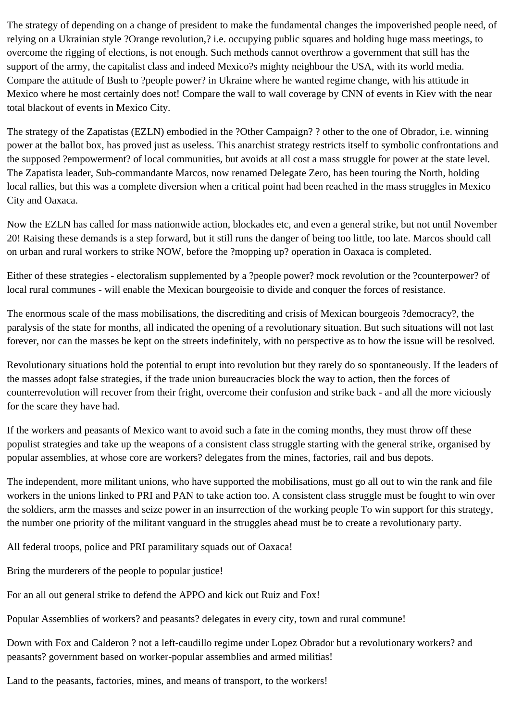The strategy of depending on a change of president to make the fundamental changes the impoverished people need, of relying on a Ukrainian style ?Orange revolution,? i.e. occupying public squares and holding huge mass meetings, to overcome the rigging of elections, is not enough. Such methods cannot overthrow a government that still has the support of the army, the capitalist class and indeed Mexico?s mighty neighbour the USA, with its world media. Compare the attitude of Bush to ?people power? in Ukraine where he wanted regime change, with his attitude in Mexico where he most certainly does not! Compare the wall to wall coverage by CNN of events in Kiev with the near total blackout of events in Mexico City.

The strategy of the Zapatistas (EZLN) embodied in the ?Other Campaign? ? other to the one of Obrador, i.e. winning power at the ballot box, has proved just as useless. This anarchist strategy restricts itself to symbolic confrontations and the supposed ?empowerment? of local communities, but avoids at all cost a mass struggle for power at the state level. The Zapatista leader, Sub-commandante Marcos, now renamed Delegate Zero, has been touring the North, holding local rallies, but this was a complete diversion when a critical point had been reached in the mass struggles in Mexico City and Oaxaca.

Now the EZLN has called for mass nationwide action, blockades etc, and even a general strike, but not until November 20! Raising these demands is a step forward, but it still runs the danger of being too little, too late. Marcos should call on urban and rural workers to strike NOW, before the ?mopping up? operation in Oaxaca is completed.

Either of these strategies - electoralism supplemented by a ?people power? mock revolution or the ?counterpower? of local rural communes - will enable the Mexican bourgeoisie to divide and conquer the forces of resistance.

The enormous scale of the mass mobilisations, the discrediting and crisis of Mexican bourgeois ?democracy?, the paralysis of the state for months, all indicated the opening of a revolutionary situation. But such situations will not last forever, nor can the masses be kept on the streets indefinitely, with no perspective as to how the issue will be resolved.

Revolutionary situations hold the potential to erupt into revolution but they rarely do so spontaneously. If the leaders of the masses adopt false strategies, if the trade union bureaucracies block the way to action, then the forces of counterrevolution will recover from their fright, overcome their confusion and strike back - and all the more viciously for the scare they have had.

If the workers and peasants of Mexico want to avoid such a fate in the coming months, they must throw off these populist strategies and take up the weapons of a consistent class struggle starting with the general strike, organised by popular assemblies, at whose core are workers? delegates from the mines, factories, rail and bus depots.

The independent, more militant unions, who have supported the mobilisations, must go all out to win the rank and file workers in the unions linked to PRI and PAN to take action too. A consistent class struggle must be fought to win over the soldiers, arm the masses and seize power in an insurrection of the working people To win support for this strategy, the number one priority of the militant vanguard in the struggles ahead must be to create a revolutionary party.

All federal troops, police and PRI paramilitary squads out of Oaxaca!

Bring the murderers of the people to popular justice!

For an all out general strike to defend the APPO and kick out Ruiz and Fox!

Popular Assemblies of workers? and peasants? delegates in every city, town and rural commune!

Down with Fox and Calderon ? not a left-caudillo regime under Lopez Obrador but a revolutionary workers? and peasants? government based on worker-popular assemblies and armed militias!

Land to the peasants, factories, mines, and means of transport, to the workers!